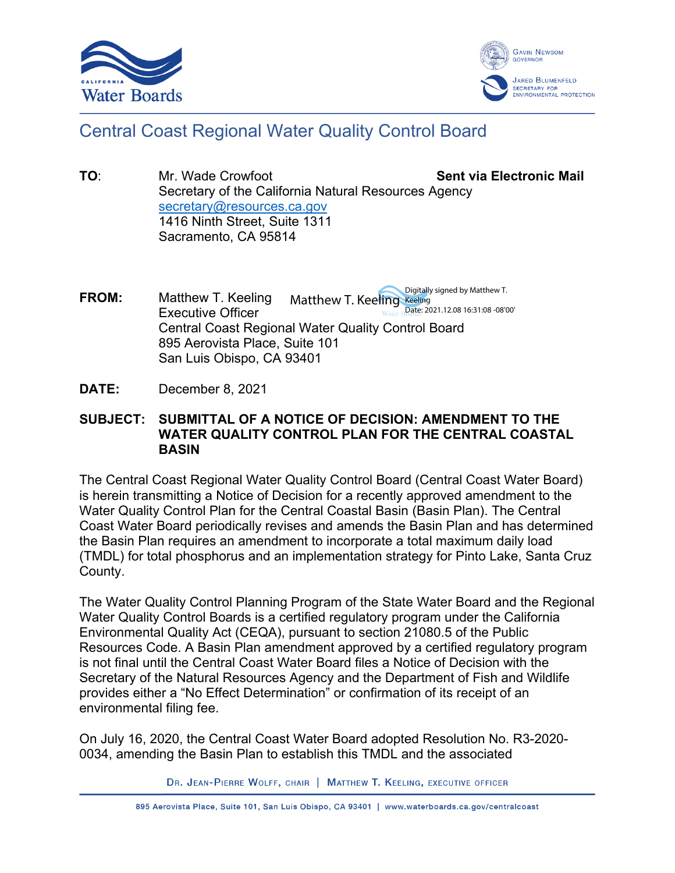



## Central Coast Regional Water Quality Control Board

- **TO:** Mr. Wade Crowfoot **Sent via Electronic Mail** Secretary of the California Natural Resources Agency [secretary@resources.ca.gov](mailto:secretary@resources.ca.gov) 1416 Ninth Street, Suite 1311 Sacramento, CA 95814
- **FROM:** Matthew T. Keeling Executive Officer Central Coast Regional Water Quality Control Board 895 Aerovista Place, Suite 101 San Luis Obispo, CA 93401 Digitally signed by Matthew T. Matthew T. Keeling Keeling Date: 2021.12.08 16:31:08 -08'00'
- **DATE:** December 8, 2021

## **SUBJECT: SUBMITTAL OF A NOTICE OF DECISION: AMENDMENT TO THE WATER QUALITY CONTROL PLAN FOR THE CENTRAL COASTAL BASIN**

The Central Coast Regional Water Quality Control Board (Central Coast Water Board) is herein transmitting a Notice of Decision for a recently approved amendment to the Water Quality Control Plan for the Central Coastal Basin (Basin Plan). The Central Coast Water Board periodically revises and amends the Basin Plan and has determined the Basin Plan requires an amendment to incorporate a total maximum daily load (TMDL) for total phosphorus and an implementation strategy for Pinto Lake, Santa Cruz County.

The Water Quality Control Planning Program of the State Water Board and the Regional Water Quality Control Boards is a certified regulatory program under the California Environmental Quality Act (CEQA), pursuant to section 21080.5 of the Public Resources Code. A Basin Plan amendment approved by a certified regulatory program is not final until the Central Coast Water Board files a Notice of Decision with the Secretary of the Natural Resources Agency and the Department of Fish and Wildlife provides either a "No Effect Determination" or confirmation of its receipt of an environmental filing fee.

On July 16, 2020, the Central Coast Water Board adopted Resolution No. R3-2020- 0034, amending the Basin Plan to establish this TMDL and the associated

DR. JEAN-PIERRE WOLFF, CHAIR | MATTHEW T. KEELING, EXECUTIVE OFFICER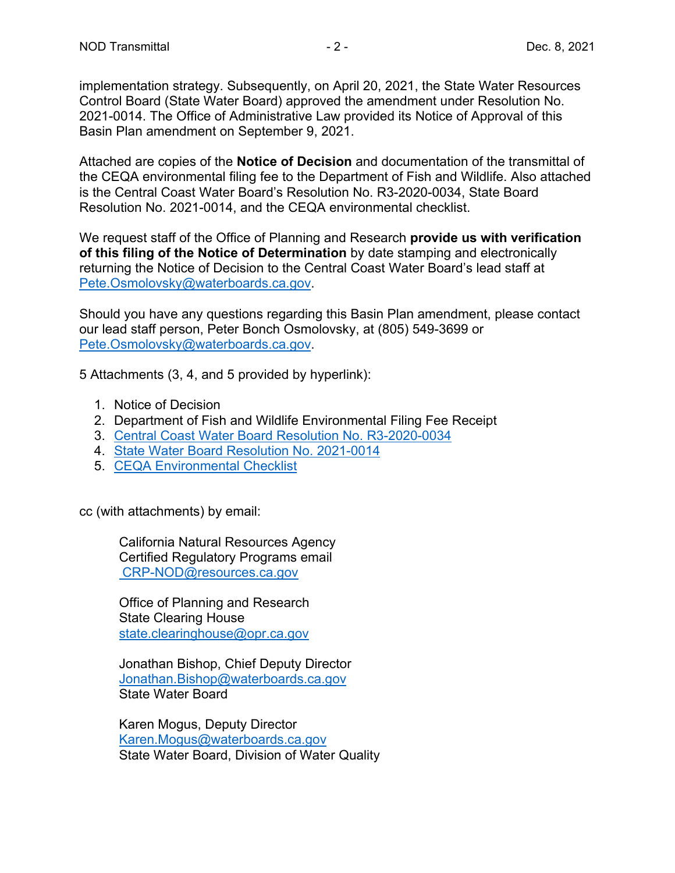implementation strategy. Subsequently, on April 20, 2021, the State Water Resources Control Board (State Water Board) approved the amendment under Resolution No. 2021-0014. The Office of Administrative Law provided its Notice of Approval of this Basin Plan amendment on September 9, 2021.

Attached are copies of the **Notice of Decision** and documentation of the transmittal of the CEQA environmental filing fee to the Department of Fish and Wildlife. Also attached is the Central Coast Water Board's Resolution No. R3-2020-0034, State Board Resolution No. 2021-0014, and the CEQA environmental checklist.

We request staff of the Office of Planning and Research **provide us with verification of this filing of the Notice of Determination** by date stamping and electronically returning the Notice of Decision to the Central Coast Water Board's lead staff at [Pete.Osmolovsky@waterboards.ca.gov.](mailto:Larry.Harlan@waterboards.ca.gov)

Should you have any questions regarding this Basin Plan amendment, please contact our lead staff person, Peter Bonch Osmolovsky, at (805) 549-3699 or [Pete.Osmolovsky@waterboards.ca.gov.](mailto:Larry.Harlan@waterboards.ca.gov)

5 Attachments (3, 4, and 5 provided by hyperlink):

- 1. Notice of Decision
- 2. Department of Fish and Wildlife Environmental Filing Fee Receipt
- 3. [Central Coast Water Board Resolution No.](https://www.waterboards.ca.gov/centralcoast/water_issues/programs/tmdl/docs/pinto_lake/2020/item9_att1.pdf) R3-2020-0034
- 4. [State Water Board Resolution No. 2021-0014](https://www.waterboards.ca.gov/board_decisions/adopted_orders/resolutions/2021/rs2021_0014.pdf)
- 5. [CEQA Environmental Checklist](https://www.waterboards.ca.gov/centralcoast/water_issues/programs/tmdl/docs/pinto_lake/2020/item9_att4.pdf)

cc (with attachments) by email:

California Natural Resources Agency Certified Regulatory Programs email [CRP-NOD@resources.ca.gov](mailto:CRP-NOD@resources.ca.gov)

Office of Planning and Research State Clearing House [state.clearinghouse@opr.ca.gov](mailto:state.clearinghouse@opr.ca.gov)

Jonathan Bishop, Chief Deputy Director [Jonathan.Bishop@waterboards.ca.gov](mailto:Jonathan.Bishop@waterboards.ca.gov) State Water Board

Karen Mogus, Deputy Director [Karen.Mogus@waterboards.ca.gov](mailto:Karen.Mogus@waterboards.ca.gov) State Water Board, Division of Water Quality